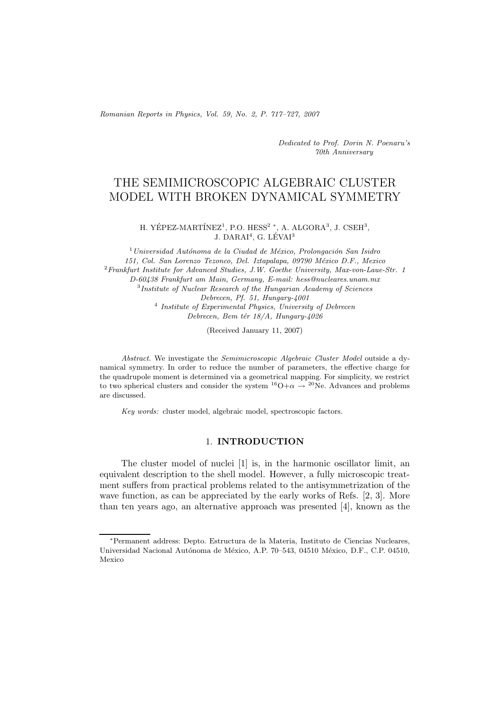*Romanian Reports in Physics, Vol. 59, No. 2, P. 717–727, 2007*

*Dedicated to Prof. Dorin N. Poenaru's 70th Anniversary*

# THE SEMIMICROSCOPIC ALGEBRAIC CLUSTER MODEL WITH BROKEN DYNAMICAL SYMMETRY

H. YÉPEZ-MARTÍNEZ<sup>1</sup>, P.O. HESS<sup>2</sup>  $*$ , A. ALGORA<sup>3</sup>, J. CSEH<sup>3</sup>,  $J.$  DARAI<sup>4</sup>, G. LÉVAI<sup>3</sup>

<sup>1</sup> Universidad Autónoma de la Ciudad de México, Prolongación San Isidro *151, Col. San Lorenzo Tezonco, Del. Iztapalapa, 09790 M´exico D.F., Mexico* <sup>2</sup>*Frankfurt Institute for Advanced Studies, J.W. Goethe University, Max-von-Laue-Str. 1 D-60438 Frankfurt am Main, Germany, E-mail: hess@nucleares.unam.mx* <sup>3</sup>*Institute of Nuclear Research of the Hungarian Academy of Sciences Debrecen, Pf. 51, Hungary-4001* <sup>4</sup> *Institute of Experimental Physics, University of Debrecen Debrecen, Bem t´er 18/A, Hungary-4026*

(Received January 11, 2007)

*Abstract.* We investigate the *Semimicroscopic Algebraic Cluster Model* outside a dynamical symmetry. In order to reduce the number of parameters, the effective charge for the quadrupole moment is determined via a geometrical mapping. For simplicity, we restrict to two spherical clusters and consider the system  ${}^{16}O+\alpha \rightarrow {}^{20}Ne$ . Advances and problems are discussed.

*Key words:* cluster model, algebraic model, spectroscopic factors.

## 1. **INTRODUCTION**

The cluster model of nuclei [1] is, in the harmonic oscillator limit, an equivalent description to the shell model. However, a fully microscopic treatment suffers from practical problems related to the antisymmetrization of the wave function, as can be appreciated by the early works of Refs. [2, 3]. More than ten years ago, an alternative approach was presented [4], known as the

<sup>∗</sup>Permanent address: Depto. Estructura de la Materia, Instituto de Ciencias Nucleares, Universidad Nacional Autónoma de México, A.P. 70–543, 04510 México, D.F., C.P. 04510, Mexico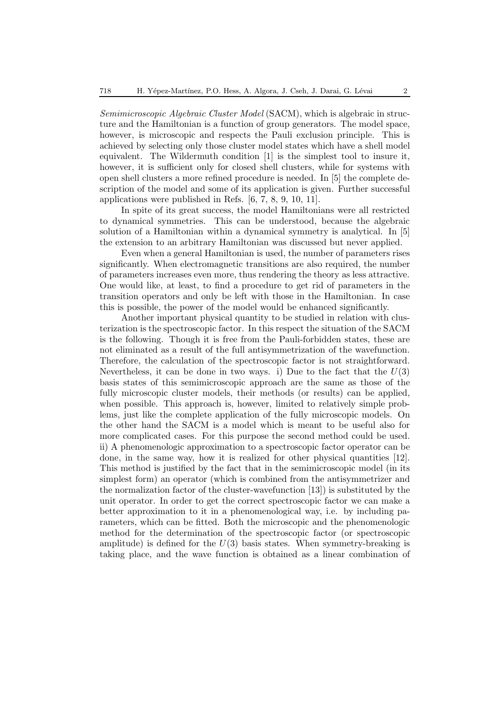*Semimicroscopic Algebraic Cluster Model* (SACM), which is algebraic in structure and the Hamiltonian is a function of group generators. The model space, however, is microscopic and respects the Pauli exclusion principle. This is achieved by selecting only those cluster model states which have a shell model equivalent. The Wildermuth condition [1] is the simplest tool to insure it, however, it is sufficient only for closed shell clusters, while for systems with open shell clusters a more refined procedure is needed. In [5] the complete description of the model and some of its application is given. Further successful applications were published in Refs. [6, 7, 8, 9, 10, 11].

In spite of its great success, the model Hamiltonians were all restricted to dynamical symmetries. This can be understood, because the algebraic solution of a Hamiltonian within a dynamical symmetry is analytical. In [5] the extension to an arbitrary Hamiltonian was discussed but never applied.

Even when a general Hamiltonian is used, the number of parameters rises significantly. When electromagnetic transitions are also required, the number of parameters increases even more, thus rendering the theory as less attractive. One would like, at least, to find a procedure to get rid of parameters in the transition operators and only be left with those in the Hamiltonian. In case this is possible, the power of the model would be enhanced significantly.

Another important physical quantity to be studied in relation with clusterization is the spectroscopic factor. In this respect the situation of the SACM is the following. Though it is free from the Pauli-forbidden states, these are not eliminated as a result of the full antisymmetrization of the wavefunction. Therefore, the calculation of the spectroscopic factor is not straightforward. Nevertheless, it can be done in two ways. i) Due to the fact that the  $U(3)$ basis states of this semimicroscopic approach are the same as those of the fully microscopic cluster models, their methods (or results) can be applied. when possible. This approach is, however, limited to relatively simple problems, just like the complete application of the fully microscopic models. On the other hand the SACM is a model which is meant to be useful also for more complicated cases. For this purpose the second method could be used. ii) A phenomenologic approximation to a spectroscopic factor operator can be done, in the same way, how it is realized for other physical quantities [12]. This method is justified by the fact that in the semimicroscopic model (in its simplest form) an operator (which is combined from the antisymmetrizer and the normalization factor of the cluster-wavefunction [13]) is substituted by the unit operator. In order to get the correct spectroscopic factor we can make a better approximation to it in a phenomenological way, i.e. by including parameters, which can be fitted. Both the microscopic and the phenomenologic method for the determination of the spectroscopic factor (or spectroscopic amplitude) is defined for the  $U(3)$  basis states. When symmetry-breaking is taking place, and the wave function is obtained as a linear combination of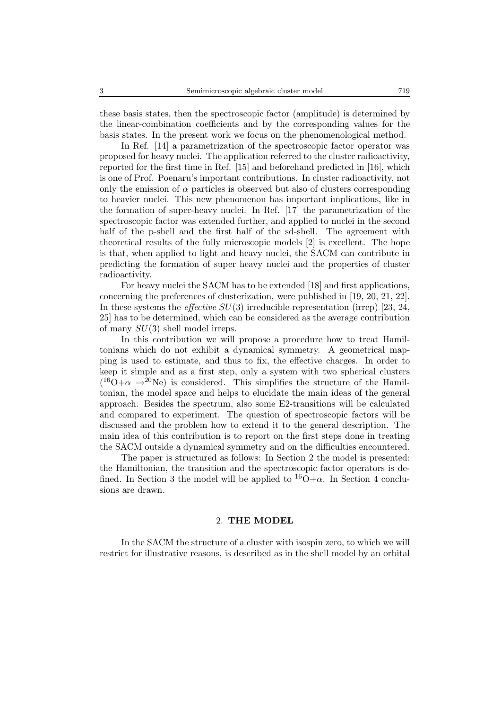these basis states, then the spectroscopic factor (amplitude) is determined by the linear-combination coefficients and by the corresponding values for the basis states. In the present work we focus on the phenomenological method.

In Ref. [14] a parametrization of the spectroscopic factor operator was proposed for heavy nuclei. The application referred to the cluster radioactivity, reported for the first time in Ref. [15] and beforehand predicted in [16], which is one of Prof. Poenaru's important contributions. In cluster radioactivity, not only the emission of  $\alpha$  particles is observed but also of clusters corresponding to heavier nuclei. This new phenomenon has important implications, like in the formation of super-heavy nuclei. In Ref. [17] the parametrization of the spectroscopic factor was extended further, and applied to nuclei in the second half of the p-shell and the first half of the sd-shell. The agreement with theoretical results of the fully microscopic models [2] is excellent. The hope is that, when applied to light and heavy nuclei, the SACM can contribute in predicting the formation of super heavy nuclei and the properties of cluster radioactivity.

For heavy nuclei the SACM has to be extended [18] and first applications, concerning the preferences of clusterization, were published in [19, 20, 21, 22]. In these systems the *effective* SU(3) irreducible representation (irrep) [23, 24, 25] has to be determined, which can be considered as the average contribution of many  $SU(3)$  shell model irreps.

In this contribution we will propose a procedure how to treat Hamiltonians which do not exhibit a dynamical symmetry. A geometrical mapping is used to estimate, and thus to fix, the effective charges. In order to keep it simple and as a first step, only a system with two spherical clusters  $(16O+\alpha \rightarrow 20$ Ne) is considered. This simplifies the structure of the Hamiltonian, the model space and helps to elucidate the main ideas of the general approach. Besides the spectrum, also some E2-transitions will be calculated and compared to experiment. The question of spectroscopic factors will be discussed and the problem how to extend it to the general description. The main idea of this contribution is to report on the first steps done in treating the SACM outside a dynamical symmetry and on the difficulties encountered.

The paper is structured as follows: In Section 2 the model is presented: the Hamiltonian, the transition and the spectroscopic factor operators is defined. In Section 3 the model will be applied to  ${}^{16}O+\alpha$ . In Section 4 conclusions are drawn.

## 2. **THE MODEL**

In the SACM the structure of a cluster with isospin zero, to which we will restrict for illustrative reasons, is described as in the shell model by an orbital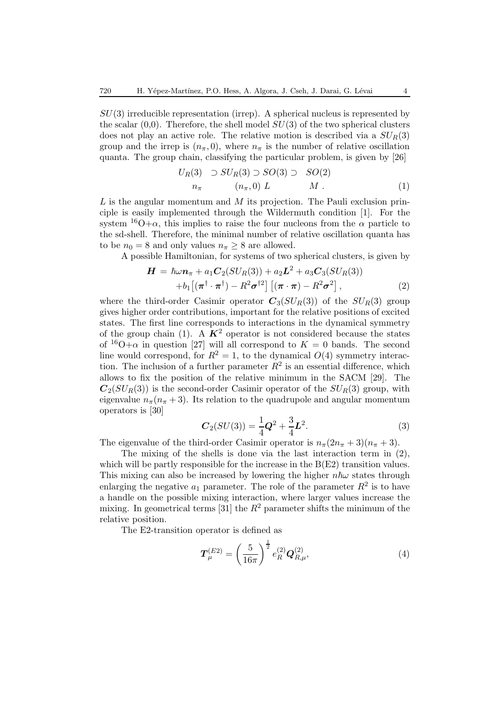$SU(3)$  irreducible representation (irrep). A spherical nucleus is represented by the scalar  $(0,0)$ . Therefore, the shell model  $SU(3)$  of the two spherical clusters does not play an active role. The relative motion is described via a  $SU_R(3)$ group and the irrep is  $(n_{\pi}, 0)$ , where  $n_{\pi}$  is the number of relative oscillation quanta. The group chain, classifying the particular problem, is given by [26]

$$
U_R(3) \supset SU_R(3) \supset SO(3) \supset SO(2)
$$
  
\n
$$
n_{\pi} \qquad (n_{\pi}, 0) \ L \qquad M \ . \tag{1}
$$

L is the angular momentum and M its projection. The Pauli exclusion principle is easily implemented through the Wildermuth condition [1]. For the system  $^{16}O+\alpha$ , this implies to raise the four nucleons from the  $\alpha$  particle to the sd-shell. Therefore, the minimal number of relative oscillation quanta has to be  $n_0 = 8$  and only values  $n_\pi \geq 8$  are allowed.

A possible Hamiltonian, for systems of two spherical clusters, is given by

$$
\mathbf{H} = \hbar\omega\mathbf{n}_{\pi} + a_1 \mathbf{C}_2 (SU_R(3)) + a_2 \mathbf{L}^2 + a_3 \mathbf{C}_3 (SU_R(3))
$$
  
+ $b_1 [(\boldsymbol{\pi}^\dagger \cdot \boldsymbol{\pi}^\dagger) - R^2 \boldsymbol{\sigma}^{\dagger 2}] [(\boldsymbol{\pi} \cdot \boldsymbol{\pi}) - R^2 \boldsymbol{\sigma}^2],$  (2)

where the third-order Casimir operator  $C_3(SU_R(3))$  of the  $SU_R(3)$  group gives higher order contributions, important for the relative positions of excited states. The first line corresponds to interactions in the dynamical symmetry of the group chain (1). A  $K^2$  operator is not considered because the states of  ${}^{16}O+\alpha$  in question [27] will all correspond to  $K=0$  bands. The second line would correspond, for  $R^2 = 1$ , to the dynamical  $O(4)$  symmetry interaction. The inclusion of a further parameter  $R^2$  is an essential difference, which allows to fix the position of the relative minimum in the SACM [29]. The  $C_2(SU_R(3))$  is the second-order Casimir operator of the  $SU_R(3)$  group, with eigenvalue  $n_{\pi}(n_{\pi} + 3)$ . Its relation to the quadrupole and angular momentum operators is [30]

$$
C_2(SU(3)) = \frac{1}{4}Q^2 + \frac{3}{4}L^2.
$$
 (3)

The eigenvalue of the third-order Casimir operator is  $n_{\pi}(2n_{\pi}+3)(n_{\pi}+3)$ .

The mixing of the shells is done via the last interaction term in (2), which will be partly responsible for the increase in the  $B(E2)$  transition values. This mixing can also be increased by lowering the higher  $n\hbar\omega$  states through enlarging the negative  $a_1$  parameter. The role of the parameter  $R^2$  is to have a handle on the possible mixing interaction, where larger values increase the mixing. In geometrical terms [31] the  $R^2$  parameter shifts the minimum of the relative position.

The E2-transition operator is defined as

$$
\boldsymbol{T}_{\mu}^{(E2)} = \left(\frac{5}{16\pi}\right)^{\frac{1}{2}} e_R^{(2)} \boldsymbol{Q}_{R,\mu}^{(2)},\tag{4}
$$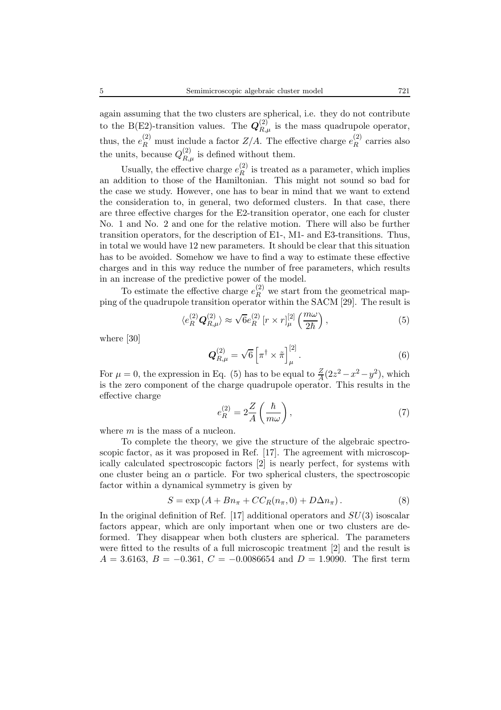again assuming that the two clusters are spherical, i.e. they do not contribute to the B(E2)-transition values. The  $Q_{R,\mu}^{(2)}$  is the mass quadrupole operator, thus, the  $e_R^{(2)}$  must include a factor  $Z/A$ . The effective charge  $e_R^{(2)}$  carries also the units, because  $Q_{R,\mu}^{(2)}$  is defined without them.

Usually, the effective charge  $e_R^{(2)}$  is treated as a parameter, which implies an addition to those of the Hamiltonian. This might not sound so bad for the case we study. However, one has to bear in mind that we want to extend the consideration to, in general, two deformed clusters. In that case, there are three effective charges for the E2-transition operator, one each for cluster No. 1 and No. 2 and one for the relative motion. There will also be further transition operators, for the description of E1-, M1- and E3-transitions. Thus, in total we would have 12 new parameters. It should be clear that this situation has to be avoided. Somehow we have to find a way to estimate these effective charges and in this way reduce the number of free parameters, which results in an increase of the predictive power of the model.

To estimate the effective charge  $e_R^{(2)}$  we start from the geometrical mapping of the quadrupole transition operator within the SACM [29]. The result is

$$
\langle e_R^{(2)} \mathbf{Q}_{R,\mu}^{(2)} \rangle \approx \sqrt{6} e_R^{(2)} \left[ r \times r \right]_{\mu}^{[2]} \left( \frac{m\omega}{2\hbar} \right),\tag{5}
$$

where [30]

$$
\mathbf{Q}_{R,\mu}^{(2)} = \sqrt{6} \left[ \pi^\dagger \times \tilde{\pi} \right]_{\mu}^{[2]} . \tag{6}
$$

For  $\mu = 0$ , the expression in Eq. (5) has to be equal to  $\frac{Z}{A}(2z^2 - x^2 - y^2)$ , which is the zero component of the charge quadrupole operator. This results in the effective charge

$$
e_R^{(2)} = 2\frac{Z}{A} \left(\frac{\hbar}{m\omega}\right),\tag{7}
$$

where m is the mass of a nucleon.

To complete the theory, we give the structure of the algebraic spectroscopic factor, as it was proposed in Ref. [17]. The agreement with microscopically calculated spectroscopic factors [2] is nearly perfect, for systems with one cluster being an  $\alpha$  particle. For two spherical clusters, the spectroscopic factor within a dynamical symmetry is given by

$$
S = \exp\left(A + Bn_{\pi} + CC_R(n_{\pi}, 0) + D\Delta n_{\pi}\right). \tag{8}
$$

In the original definition of Ref. [17] additional operators and  $SU(3)$  isoscalar factors appear, which are only important when one or two clusters are deformed. They disappear when both clusters are spherical. The parameters were fitted to the results of a full microscopic treatment [2] and the result is  $A = 3.6163, B = -0.361, C = -0.0086654$  and  $D = 1.9090$ . The first term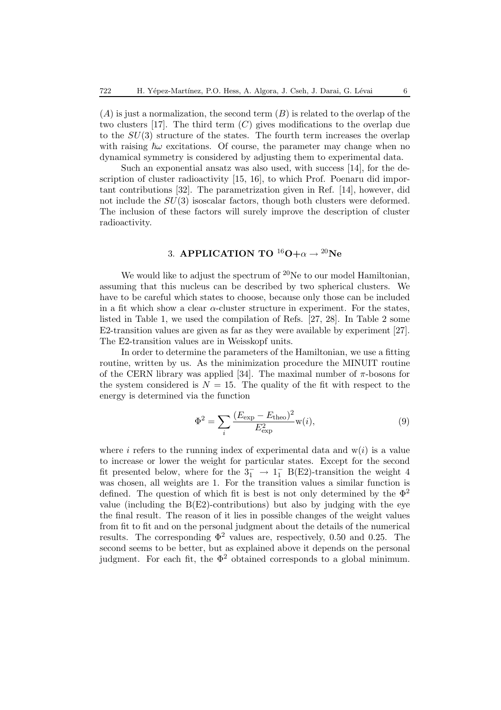$(A)$  is just a normalization, the second term  $(B)$  is related to the overlap of the two clusters [17]. The third term  $(C)$  gives modifications to the overlap due to the  $SU(3)$  structure of the states. The fourth term increases the overlap with raising  $\hbar \omega$  excitations. Of course, the parameter may change when no dynamical symmetry is considered by adjusting them to experimental data.

Such an exponential ansatz was also used, with success [14], for the description of cluster radioactivity [15, 16], to which Prof. Poenaru did important contributions [32]. The parametrization given in Ref. [14], however, did not include the  $SU(3)$  isoscalar factors, though both clusters were deformed. The inclusion of these factors will surely improve the description of cluster radioactivity.

# 3. **APPLICATION TO**  ${}^{16}O+\alpha \rightarrow {}^{20}Ne$

We would like to adjust the spectrum of <sup>20</sup>Ne to our model Hamiltonian, assuming that this nucleus can be described by two spherical clusters. We have to be careful which states to choose, because only those can be included in a fit which show a clear  $\alpha$ -cluster structure in experiment. For the states, listed in Table 1, we used the compilation of Refs. [27, 28]. In Table 2 some E2-transition values are given as far as they were available by experiment [27]. The E2-transition values are in Weisskopf units.

In order to determine the parameters of the Hamiltonian, we use a fitting routine, written by us. As the minimization procedure the MINUIT routine of the CERN library was applied [34]. The maximal number of  $\pi$ -bosons for the system considered is  $N = 15$ . The quality of the fit with respect to the energy is determined via the function

$$
\Phi^2 = \sum_i \frac{(E_{\text{exp}} - E_{\text{theo}})^2}{E_{\text{exp}}^2} \mathbf{w}(i),\tag{9}
$$

where i refers to the running index of experimental data and  $w(i)$  is a value to increase or lower the weight for particular states. Except for the second fit presented below, where for the  $3<sub>1</sub><sup>-</sup> \rightarrow 1<sub>1</sub><sup>-</sup> B(E2)$ -transition the weight 4 was chosen, all weights are 1. For the transition values a similar function is defined. The question of which fit is best is not only determined by the  $\Phi^2$ value (including the  $B(E2)$ -contributions) but also by judging with the eye the final result. The reason of it lies in possible changes of the weight values from fit to fit and on the personal judgment about the details of the numerical results. The corresponding  $\Phi^2$  values are, respectively, 0.50 and 0.25. The second seems to be better, but as explained above it depends on the personal judgment. For each fit, the  $\Phi^2$  obtained corresponds to a global minimum.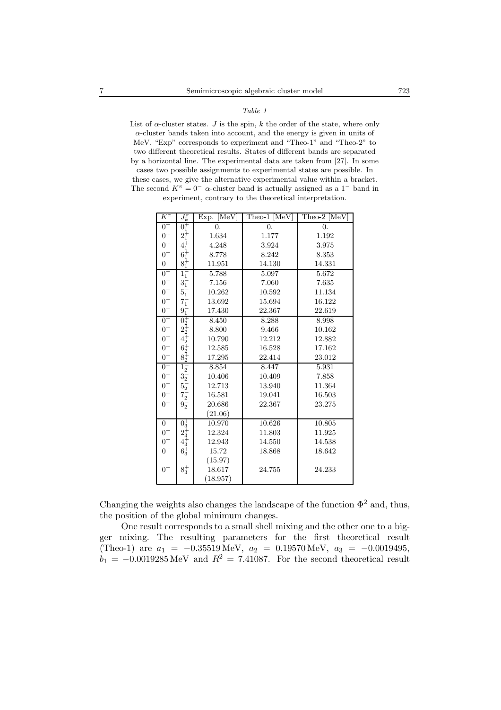List of  $\alpha$ -cluster states. J is the spin, k the order of the state, where only  $\alpha$ -cluster bands taken into account, and the energy is given in units of MeV. "Exp" corresponds to experiment and "Theo-1" and "Theo-2" to two different theoretical results. States of different bands are separated by a horizontal line. The experimental data are taken from [27]. In some cases two possible assignments to experimental states are possible. In these cases, we give the alternative experimental value within a bracket. The second  $K^{\pi} = 0^{-} \alpha$ -cluster band is actually assigned as a 1<sup>-</sup> band in experiment, contrary to the theoretical interpretation.

| $K^{\pi}$ | $J_k^\pi$                                                      | $ \overline{\text{MeV}} $<br>Exp. | Theo-1 [MeV] | Theo-2 [MeV] |
|-----------|----------------------------------------------------------------|-----------------------------------|--------------|--------------|
| $0^+$     | $0^+_1$                                                        | 0.                                | 0.           | 0.           |
| $0^+$     | $2^{+}_{1}\n4^{+}_{1}$                                         | 1.634                             | 1.177        | 1.192        |
| $0^+$     |                                                                | 4.248                             | 3.924        | 3.975        |
| $0^+$     | $6^{\tilde{+}}_1$                                              | 8.778                             | 8.242        | 8.353        |
| $0^+$     | $8\bar{1}$                                                     | 11.951                            | 14.130       | 14.331       |
| $0-$      | $1^{-}_{1}$                                                    | 5.788                             | 5.097        | 5.672        |
| $0^-$     | $3^{-}_{1}$                                                    | 7.156                             | 7.060        | 7.635        |
| $0-$      | $5^-_1$                                                        | 10.262                            | 10.592       | 11.134       |
| $0-$      | $7^{-}_{1}$                                                    | 13.692                            | 15.694       | 16.122       |
| $0-$      | $9^-_1$                                                        | 17.430                            | 22.367       | 22.619       |
| $0+$      | $0^+_{2^+2^+}$<br>$4^+_{2^+4^+}$<br>$6^+_{2^+}$<br>$8^+_{2^+}$ | 8.450                             | 8.288        | 8.998        |
| $0^+$     |                                                                | 8.800                             | 9.466        | 10.162       |
| $0^+$     |                                                                | 10.790                            | 12.212       | 12.882       |
| $0^+$     |                                                                | 12.585                            | 16.528       | 17.162       |
| $0^+$     |                                                                | 17.295                            | 22.414       | 23.012       |
| $0-$      | $1^{-}_{2}$                                                    | 8.854                             | 8.447        | 5.931        |
| $0-$      | $3^-_2$                                                        | 10.406                            | 10.409       | 7.858        |
| $0-$      | $5^{-}_{2}$                                                    | 12.713                            | 13.940       | 11.364       |
| $0^-$     | $7^-_2$                                                        | 16.581                            | 19.041       | 16.503       |
| $0-$      | $9^{-}_{2}$                                                    | 20.686                            | 22.367       | 23.275       |
|           |                                                                | (21.06)                           |              |              |
| $0+$      | $0_3^+$                                                        | 10.970                            | 10.626       | 10.805       |
| $0^+$     | $2^{+}_{3}$<br>4 <sup>1</sup> / <sub>3</sub>                   | 12.324                            | 11.803       | 11.925       |
| $0^+$     |                                                                | 12.943                            | 14.550       | 14.538       |
| $0^+$     | $6^+_3$                                                        | 15.72                             | 18.868       | 18.642       |
|           |                                                                | (15.97)                           |              |              |
| $0^+$     | $8^+_3$                                                        | 18.617                            | 24.755       | 24.233       |
|           |                                                                | (18.957)                          |              |              |

Changing the weights also changes the landscape of the function  $\Phi^2$  and, thus, the position of the global minimum changes.

One result corresponds to a small shell mixing and the other one to a bigger mixing. The resulting parameters for the first theoretical result (Theo-1) are  $a_1 = -0.35519 \text{ MeV}$ ,  $a_2 = 0.19570 \text{ MeV}$ ,  $a_3 = -0.0019495$ ,  $b_1 = -0.0019285 \,\text{MeV}$  and  $R^2 = 7.41087$ . For the second theoretical result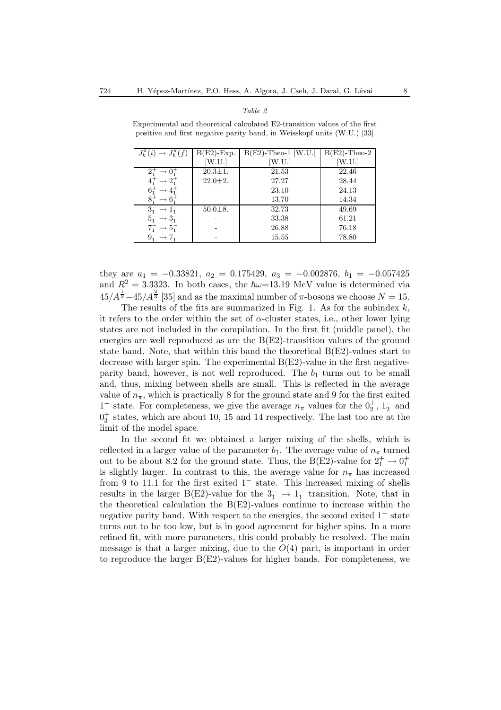| $J_k^{\pi}(i) \rightarrow J_k^{\pi}(f)$ | $B(E2)$ -Exp. | $B(E2)$ -Theo-1 [W.U.] | $B(E2)$ -Theo-2 |
|-----------------------------------------|---------------|------------------------|-----------------|
|                                         | [W.U.]        | [W.U.]                 | [W.U.]          |
|                                         | $20.3 \pm 1.$ | 21.53                  | 22.46           |
| $2^-$                                   | $22.0 \pm 2.$ | 27.27                  | 28.44           |
|                                         |               | 23.10                  | 24.13           |
|                                         |               | 13.70                  | 14.34           |
| $3^{-}_{1} \rightarrow 1^{-}_{1}$       | $50.0 \pm 8.$ | 32.73                  | 49.69           |
| $5^-_1 \rightarrow 3^-_1$               |               | 33.38                  | 61.21           |
| $7^-_1 \rightarrow 5^-_1$               |               | 26.88                  | 76.18           |
|                                         |               | 15.55                  | 78.80           |

Experimental and theoretical calculated E2-transition values of the first positive and first negative parity band, in Weisskopf units (W.U.) [33]

*Table 2*

they are  $a_1 = -0.33821$ ,  $a_2 = 0.175429$ ,  $a_3 = -0.002876$ ,  $b_1 = -0.057425$ and  $R^2 = 3.3323$ . In both cases, the  $\hbar \omega = 13.19$  MeV value is determined via  $45/A^{\frac{1}{3}}-45/A^{\frac{2}{3}}$  [35] and as the maximal number of  $\pi$ -bosons we choose  $N=15$ .

The results of the fits are summarized in Fig. 1. As for the subindex  $k$ , it refers to the order within the set of  $\alpha$ -cluster states, i.e., other lower lying states are not included in the compilation. In the first fit (middle panel), the energies are well reproduced as are the  $B(E2)$ -transition values of the ground state band. Note, that within this band the theoretical  $B(E2)$ -values start to decrease with larger spin. The experimental  $B(E2)$ -value in the first negativeparity band, however, is not well reproduced. The  $b_1$  turns out to be small and, thus, mixing between shells are small. This is reflected in the average value of  $n_{\pi}$ , which is practically 8 for the ground state and 9 for the first exited 1<sup>−</sup> state. For completeness, we give the average  $n<sub>π</sub>$  values for the  $0<sup>+</sup><sub>2</sub>$ , 1<sup>−</sup><sub>2</sub> and  $0<sub>3</sub><sup>+</sup>$  states, which are about 10, 15 and 14 respectively. The last too are at the limit of the model space.

In the second fit we obtained a larger mixing of the shells, which is reflected in a larger value of the parameter  $b_1$ . The average value of  $n_{\pi}$  turned out to be about 8.2 for the ground state. Thus, the B(E2)-value for  $2^+_1 \rightarrow 0^+_1$ is slightly larger. In contrast to this, the average value for  $n_{\pi}$  has increased from 9 to 11.1 for the first exited 1*−* state. This increased mixing of shells results in the larger B(E2)-value for the  $3<sub>1</sub><sup>-</sup> \rightarrow 1<sub>1</sub><sup>-</sup>$  transition. Note, that in the theoretical calculation the  $B(E2)$ -values continue to increase within the negative parity band. With respect to the energies, the second exited 1*−* state turns out to be too low, but is in good agreement for higher spins. In a more refined fit, with more parameters, this could probably be resolved. The main message is that a larger mixing, due to the  $O(4)$  part, is important in order to reproduce the larger B(E2)-values for higher bands. For completeness, we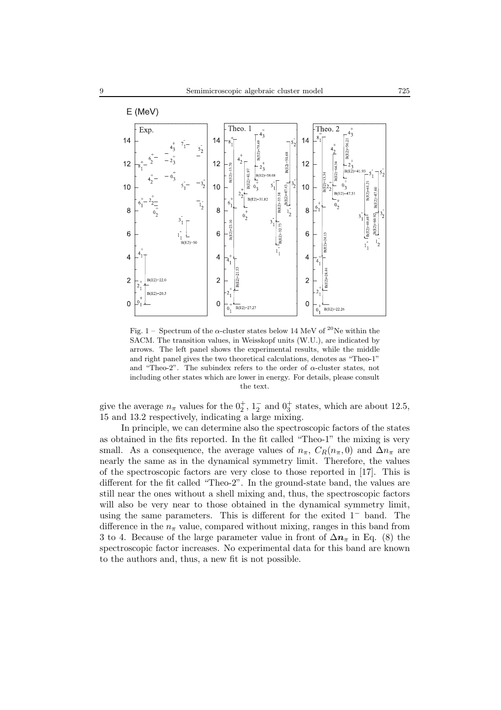

Fig. 1 – Spectrum of the  $\alpha$ -cluster states below 14 MeV of <sup>20</sup>Ne within the SACM. The transition values, in Weisskopf units (W.U.), are indicated by arrows. The left panel shows the experimental results, while the middle and right panel gives the two theoretical calculations, denotes as "Theo-1" and "Theo-2". The subindex refers to the order of  $\alpha$ -cluster states, not including other states which are lower in energy. For details, please consult the text.

give the average  $n_{\pi}$  values for the  $0^{+}_{2}$ ,  $1^{-}_{2}$  and  $0^{+}_{3}$  states, which are about 12.5, 15 and 13.2 respectively, indicating a large mixing.

In principle, we can determine also the spectroscopic factors of the states as obtained in the fits reported. In the fit called "Theo-1" the mixing is very small. As a consequence, the average values of  $n_{\pi}$ ,  $C_R(n_{\pi}, 0)$  and  $\Delta n_{\pi}$  are nearly the same as in the dynamical symmetry limit. Therefore, the values of the spectroscopic factors are very close to those reported in [17]. This is different for the fit called "Theo-2". In the ground-state band, the values are still near the ones without a shell mixing and, thus, the spectroscopic factors will also be very near to those obtained in the dynamical symmetry limit, using the same parameters. This is different for the exited 1*−* band. The difference in the  $n_{\pi}$  value, compared without mixing, ranges in this band from 3 to 4. Because of the large parameter value in front of  $\Delta n_{\pi}$  in Eq. (8) the spectroscopic factor increases. No experimental data for this band are known to the authors and, thus, a new fit is not possible.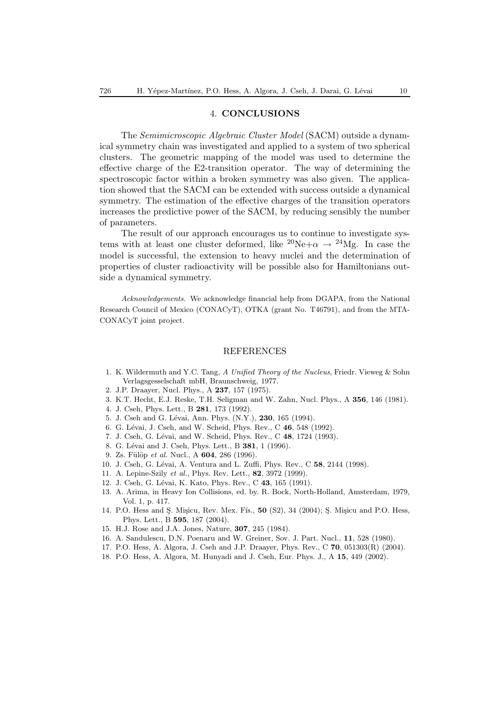### 4. **CONCLUSIONS**

The *Semimicroscopic Algebraic Cluster Model* (SACM) outside a dynamical symmetry chain was investigated and applied to a system of two spherical clusters. The geometric mapping of the model was used to determine the effective charge of the E2-transition operator. The way of determining the spectroscopic factor within a broken symmetry was also given. The application showed that the SACM can be extended with success outside a dynamical symmetry. The estimation of the effective charges of the transition operators increases the predictive power of the SACM, by reducing sensibly the number of parameters.

The result of our approach encourages us to continue to investigate systems with at least one cluster deformed, like  ${}^{20}\text{Ne}+\alpha \rightarrow {}^{24}\text{Mg}$ . In case the model is successful, the extension to heavy nuclei and the determination of properties of cluster radioactivity will be possible also for Hamiltonians outside a dynamical symmetry.

*Acknowledgements.* We acknowledge financial help from DGAPA, from the National Research Council of Mexico (CONACyT), OTKA (grant No. T46791), and from the MTA-CONACyT joint project.

#### REFERENCES

- 1. K. Wildermuth and Y.C. Tang, *A Unified Theory of the Nucleus*, Friedr. Vieweg & Sohn Verlagsgesselschaft mbH, Braunschweig, 1977.
- 2. J.P. Draayer, Nucl. Phys., A **237**, 157 (1975).
- 3. K.T. Hecht, E.J. Reske, T.H. Seligman and W. Zahn, Nucl. Phys., A **356**, 146 (1981).
- 4. J. Cseh, Phys. Lett., B **281**, 173 (1992).
- 5. J. Cseh and G. Lévai, Ann. Phys. (N.Y.), **230**, 165 (1994).
- 6. G. L´evai, J. Cseh, and W. Scheid, Phys. Rev., C **46**, 548 (1992).
- 7. J. Cseh, G. Lévai, and W. Scheid, Phys. Rev., C 48, 1724 (1993).
- 8. G. Lévai and J. Cseh, Phys. Lett., B **381**, 1 (1996).
- 9. Zs. Fülöp et al. Nucl., A  $604$ , 286 (1996).
- 10. J. Cseh, G. L´evai, A. Ventura and L. Zuffi, Phys. Rev., C **58**, 2144 (1998).
- 11. A. Lepine-Szily *et al.*, Phys. Rev. Lett., **82**, 3972 (1999).
- 12. J. Cseh, G. Lévai, K. Kato, Phys. Rev., C 43, 165 (1991).
- 13. A. Arima, in Heavy Ion Collisions, ed. by. R. Bock, North-Holland, Amsterdam, 1979, Vol. 1, p. 417.
- 14. P.O. Hess and S. Misicu, Rev. Mex. Fís., 50 (S2), 34 (2004); S. Misicu and P.O. Hess, Phys. Lett., B **595**, 187 (2004).
- 15. H.J. Rose and J.A. Jones, Nature, **307**, 245 (1984).
- 16. A. Sandulescu, D.N. Poenaru and W. Greiner, Sov. J. Part. Nucl., **11**, 528 (1980).
- 17. P.O. Hess, A. Algora, J. Cseh and J.P. Draayer, Phys. Rev., C **70**, 051303(R) (2004).
- 18. P.O. Hess, A. Algora, M. Hunyadi and J. Cseh, Eur. Phys. J., A **15**, 449 (2002).